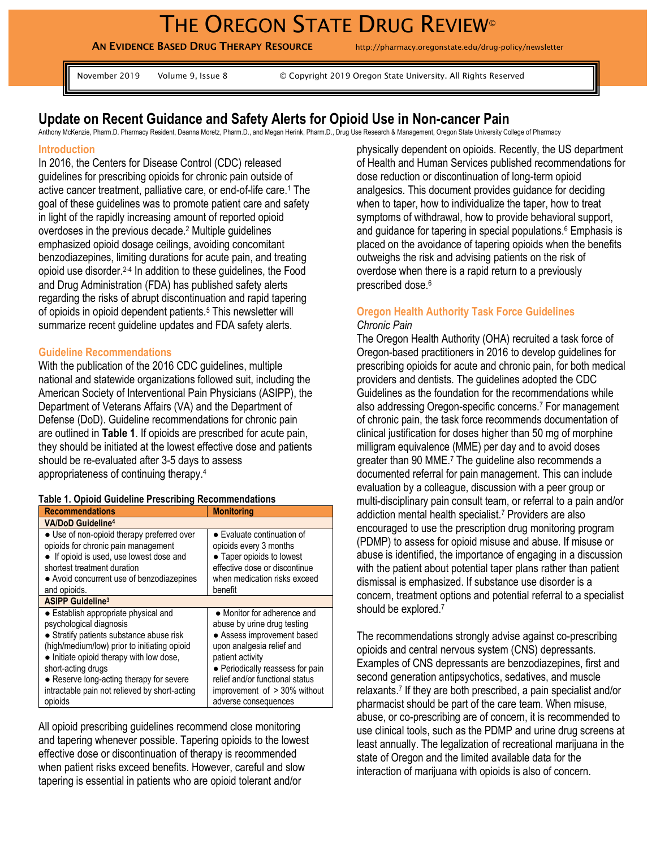# THE OREGON STATE DRUG REVIEW®

**AN EVIDENCE BASED DRUG THERAPY RESOURCE** http://pharmacy.oregonstate.edu/drug-policy/newsletter

November 2019 Volume 9, Issue 8 © Copyright 2019 Oregon State University. All Rights Reserved

# **Update on Recent Guidance and Safety Alerts for Opioid Use in Non-cancer Pain**

Anthony McKenzie, Pharm.D. Pharmacy Resident, Deanna Moretz, Pharm.D., and Megan Herink, Pharm.D., Drug Use Research & Management, Oregon State University College of Pharmacy

#### **Introduction**

In 2016, the Centers for Disease Control (CDC) released guidelines for prescribing opioids for chronic pain outside of active cancer treatment, palliative care, or end-of-life care.<sup>1</sup> The goal of these guidelines was to promote patient care and safety in light of the rapidly increasing amount of reported opioid overdoses in the previous decade.<sup>2</sup> Multiple guidelines emphasized opioid dosage ceilings, avoiding concomitant benzodiazepines, limiting durations for acute pain, and treating opioid use disorder.2-4 In addition to these guidelines, the Food and Drug Administration (FDA) has published safety alerts regarding the risks of abrupt discontinuation and rapid tapering of opioids in opioid dependent patients.<sup>5</sup> This newsletter will summarize recent guideline updates and FDA safety alerts.

#### **Guideline Recommendations**

With the publication of the 2016 CDC guidelines, multiple national and statewide organizations followed suit, including the American Society of Interventional Pain Physicians (ASIPP), the Department of Veterans Affairs (VA) and the Department of Defense (DoD). Guideline recommendations for chronic pain are outlined in **Table 1**. If opioids are prescribed for acute pain, they should be initiated at the lowest effective dose and patients should be re-evaluated after 3-5 days to assess appropriateness of continuing therapy.<sup>4</sup>

#### **Table 1. Opioid Guideline Prescribing Recommendations**

| <b>Recommendations</b>                                                                                                                                                                                                                                                                                                                | <b>Monitoring</b>                                                                                                                                                                                                                                                        |
|---------------------------------------------------------------------------------------------------------------------------------------------------------------------------------------------------------------------------------------------------------------------------------------------------------------------------------------|--------------------------------------------------------------------------------------------------------------------------------------------------------------------------------------------------------------------------------------------------------------------------|
| <b>VA/DoD Guideline<sup>4</sup></b>                                                                                                                                                                                                                                                                                                   |                                                                                                                                                                                                                                                                          |
| • Use of non-opioid therapy preferred over<br>opioids for chronic pain management<br>• If opioid is used, use lowest dose and<br>shortest treatment duration<br>• Avoid concurrent use of benzodiazepines<br>and opioids.                                                                                                             | • Evaluate continuation of<br>opioids every 3 months<br>• Taper opioids to lowest<br>effective dose or discontinue<br>when medication risks exceed<br>benefit                                                                                                            |
| <b>ASIPP Guideline<sup>3</sup></b>                                                                                                                                                                                                                                                                                                    |                                                                                                                                                                                                                                                                          |
| • Establish appropriate physical and<br>psychological diagnosis<br>• Stratify patients substance abuse risk<br>(high/medium/low) prior to initiating opioid<br>• Initiate opioid therapy with low dose,<br>short-acting drugs<br>• Reserve long-acting therapy for severe<br>intractable pain not relieved by short-acting<br>opioids | • Monitor for adherence and<br>abuse by urine drug testing<br>• Assess improvement based<br>upon analgesia relief and<br>patient activity<br>• Periodically reassess for pain<br>relief and/or functional status<br>improvement of > 30% without<br>adverse consequences |

All opioid prescribing guidelines recommend close monitoring and tapering whenever possible. Tapering opioids to the lowest effective dose or discontinuation of therapy is recommended when patient risks exceed benefits. However, careful and slow tapering is essential in patients who are opioid tolerant and/or

physically dependent on opioids. Recently, the US department of Health and Human Services published recommendations for dose reduction or discontinuation of long-term opioid analgesics. This document provides guidance for deciding when to taper, how to individualize the taper, how to treat symptoms of withdrawal, how to provide behavioral support, and quidance for tapering in special populations.<sup>6</sup> Emphasis is placed on the avoidance of tapering opioids when the benefits outweighs the risk and advising patients on the risk of overdose when there is a rapid return to a previously prescribed dose. 6

#### **Oregon Health Authority Task Force Guidelines** *Chronic Pain*

The Oregon Health Authority (OHA) recruited a task force of Oregon-based practitioners in 2016 to develop guidelines for prescribing opioids for acute and chronic pain, for both medical providers and dentists. The guidelines adopted the CDC Guidelines as the foundation for the recommendations while also addressing Oregon-specific concerns.<sup>7</sup> For management of chronic pain, the task force recommends documentation of clinical justification for doses higher than 50 mg of morphine milligram equivalence (MME) per day and to avoid doses greater than 90 MME.<sup>7</sup> The guideline also recommends a documented referral for pain management. This can include evaluation by a colleague, discussion with a peer group or multi-disciplinary pain consult team, or referral to a pain and/or addiction mental health specialist.<sup>7</sup> Providers are also encouraged to use the prescription drug monitoring program (PDMP) to assess for opioid misuse and abuse. If misuse or abuse is identified, the importance of engaging in a discussion with the patient about potential taper plans rather than patient dismissal is emphasized. If substance use disorder is a concern, treatment options and potential referral to a specialist should be explored.<sup>7</sup>

The recommendations strongly advise against co-prescribing opioids and central nervous system (CNS) depressants. Examples of CNS depressants are benzodiazepines, first and second generation antipsychotics, sedatives, and muscle relaxants.<sup>7</sup> If they are both prescribed, a pain specialist and/or pharmacist should be part of the care team. When misuse, abuse, or co-prescribing are of concern, it is recommended to use clinical tools, such as the PDMP and urine drug screens at least annually. The legalization of recreational marijuana in the state of Oregon and the limited available data for the interaction of marijuana with opioids is also of concern.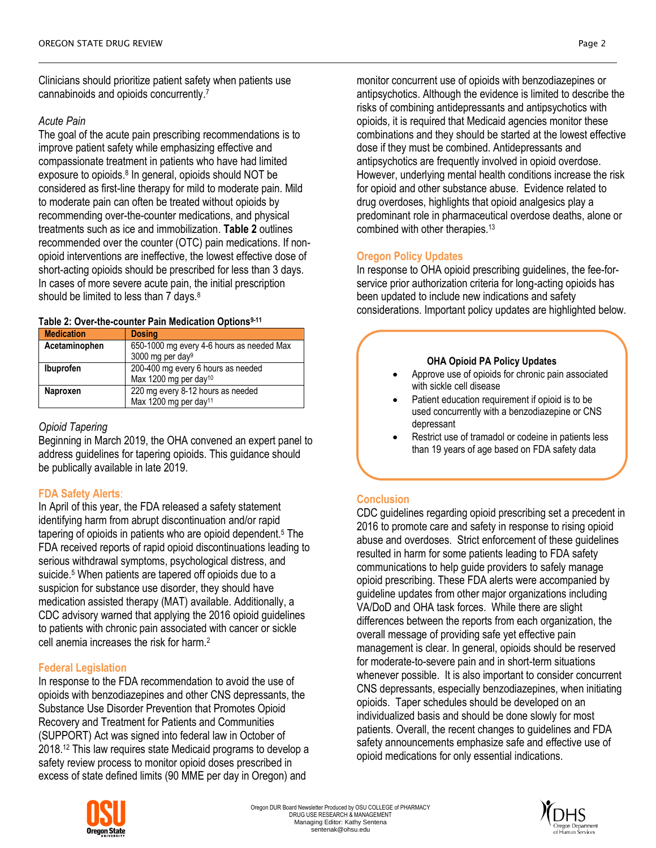Clinicians should prioritize patient safety when patients use cannabinoids and opioids concurrently.<sup>7</sup>

# *Acute Pain*

The goal of the acute pain prescribing recommendations is to improve patient safety while emphasizing effective and compassionate treatment in patients who have had limited exposure to opioids.<sup>8</sup> In general, opioids should NOT be considered as first-line therapy for mild to moderate pain. Mild to moderate pain can often be treated without opioids by recommending over-the-counter medications, and physical treatments such as ice and immobilization. **Table 2** outlines recommended over the counter (OTC) pain medications. If nonopioid interventions are ineffective, the lowest effective dose of short-acting opioids should be prescribed for less than 3 days. In cases of more severe acute pain, the initial prescription should be limited to less than 7 days.<sup>8</sup>

## **Table 2: Over-the-counter Pain Medication Options9-11**

| <b>Medication</b> | <b>Dosing</b>                             |
|-------------------|-------------------------------------------|
| Acetaminophen     | 650-1000 mg every 4-6 hours as needed Max |
|                   | 3000 mg per day <sup>9</sup>              |
| <b>Ibuprofen</b>  | 200-400 mg every 6 hours as needed        |
|                   | Max 1200 mg per day <sup>10</sup>         |
| <b>Naproxen</b>   | 220 mg every 8-12 hours as needed         |
|                   | Max 1200 mg per day <sup>11</sup>         |

# *Opioid Tapering*

Beginning in March 2019, the OHA convened an expert panel to address guidelines for tapering opioids. This guidance should be publically available in late 2019.

# **FDA Safety Alerts**:

In April of this year, the FDA released a safety statement identifying harm from abrupt discontinuation and/or rapid tapering of opioids in patients who are opioid dependent.<sup>5</sup> The FDA received reports of rapid opioid discontinuations leading to serious withdrawal symptoms, psychological distress, and suicide.<sup>5</sup> When patients are tapered off opioids due to a suspicion for substance use disorder, they should have medication assisted therapy (MAT) available. Additionally, a CDC advisory warned that applying the 2016 opioid guidelines to patients with chronic pain associated with cancer or sickle cell anemia increases the risk for harm.<sup>2</sup>

## **Federal Legislation**

In response to the FDA recommendation to avoid the use of opioids with benzodiazepines and other CNS depressants, the Substance Use Disorder Prevention that Promotes Opioid Recovery and Treatment for Patients and Communities (SUPPORT) Act was signed into federal law in October of 2018.<sup>12</sup> This law requires state Medicaid programs to develop a safety review process to monitor opioid doses prescribed in excess of state defined limits (90 MME per day in Oregon) and



# **Oregon Policy Updates**

In response to OHA opioid prescribing guidelines, the fee-forservice prior authorization criteria for long-acting opioids has been updated to include new indications and safety considerations. Important policy updates are highlighted below.

## **OHA Opioid PA Policy Updates**

- Approve use of opioids for chronic pain associated with sickle cell disease
- Patient education requirement if opioid is to be used concurrently with a benzodiazepine or CNS depressant
- Restrict use of tramadol or codeine in patients less than 19 years of age based on FDA safety data

# **Conclusion**

CDC guidelines regarding opioid prescribing set a precedent in 2016 to promote care and safety in response to rising opioid abuse and overdoses. Strict enforcement of these guidelines resulted in harm for some patients leading to FDA safety communications to help guide providers to safely manage opioid prescribing. These FDA alerts were accompanied by guideline updates from other major organizations including VA/DoD and OHA task forces. While there are slight differences between the reports from each organization, the overall message of providing safe yet effective pain management is clear. In general, opioids should be reserved for moderate-to-severe pain and in short-term situations whenever possible. It is also important to consider concurrent CNS depressants, especially benzodiazepines, when initiating opioids. Taper schedules should be developed on an individualized basis and should be done slowly for most patients. Overall, the recent changes to guidelines and FDA safety announcements emphasize safe and effective use of opioid medications for only essential indications.